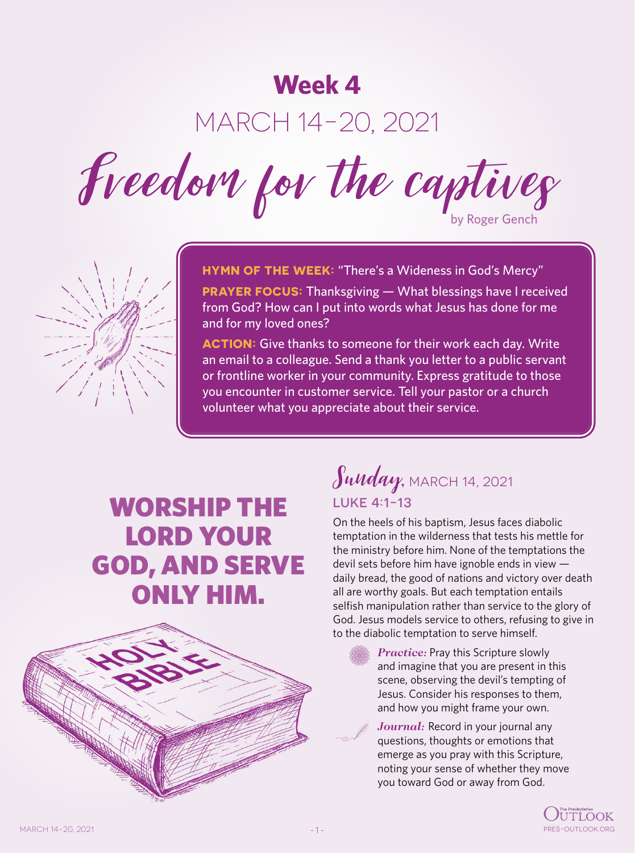## **Week 4**

# MARCH 14-20, 2021

Freedom for the captives



**HYMN OF THE WEEK:** "There's a Wideness in God's Mercy"

**PRAYER FOCUS:** Thanksgiving — What blessings have I received from God? How can I put into words what Jesus has done for me and for my loved ones?

**ACTION:** Give thanks to someone for their work each day. Write an email to a colleague. Send a thank you letter to a public servant or frontline worker in your community. Express gratitude to those you encounter in customer service. Tell your pastor or a church volunteer what you appreciate about their service.

# WORSHIP THE LORD YOUR GOD, AND SERVE ONLY HIM.



## $\int$ unday, MARCH 14, 2021 LUKE 4:1-13

On the heels of his baptism, Jesus faces diabolic temptation in the wilderness that tests his mettle for the ministry before him. None of the temptations the devil sets before him have ignoble ends in view daily bread, the good of nations and victory over death all are worthy goals. But each temptation entails selfish manipulation rather than service to the glory of God. Jesus models service to others, refusing to give in to the diabolic temptation to serve himself.

> *Practice:* Pray this Scripture slowly and imagine that you are present in this scene, observing the devil's tempting of Jesus. Consider his responses to them, and how you might frame your own.

Journal: Record in your journal any questions, thoughts or emotions that emerge as you pray with this Scripture, noting your sense of whether they move you toward God or away from God.

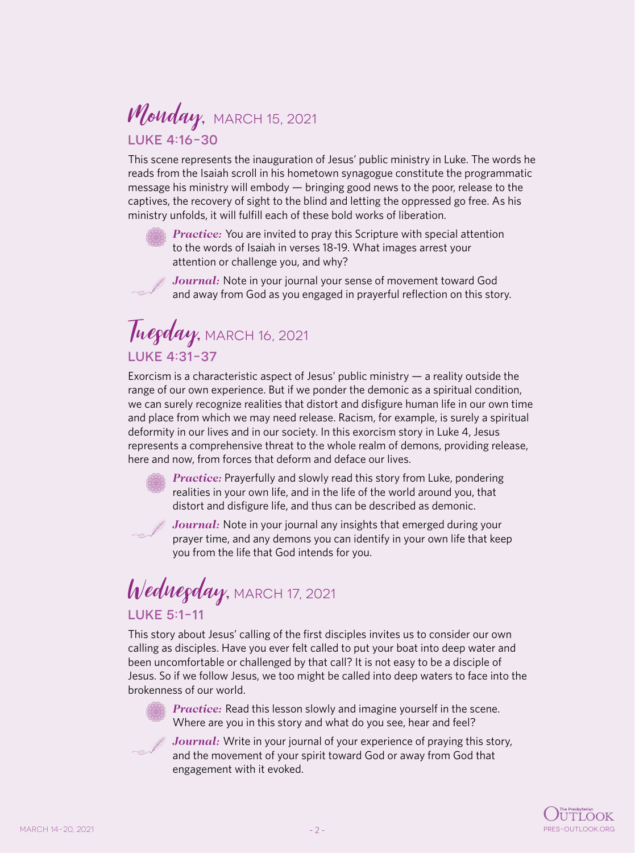#### Monday, MARCH 15, 2021 LUKE 4:16-30

This scene represents the inauguration of Jesus' public ministry in Luke. The words he reads from the Isaiah scroll in his hometown synagogue constitute the programmatic message his ministry will embody — bringing good news to the poor, release to the captives, the recovery of sight to the blind and letting the oppressed go free. As his ministry unfolds, it will fulfill each of these bold works of liberation.

*Practice:* You are invited to pray this Scripture with special attention to the words of Isaiah in verses 18-19. What images arrest your attention or challenge you, and why?

*Journal:* Note in your journal your sense of movement toward God and away from God as you engaged in prayerful reflection on this story.

#### Tuegday, MARCH 16, 2021 LUKE 4:31-37

Exorcism is a characteristic aspect of Jesus' public ministry  $-$  a reality outside the range of our own experience. But if we ponder the demonic as a spiritual condition, we can surely recognize realities that distort and disfigure human life in our own time and place from which we may need release. Racism, for example, is surely a spiritual deformity in our lives and in our society. In this exorcism story in Luke 4, Jesus represents a comprehensive threat to the whole realm of demons, providing release, here and now, from forces that deform and deface our lives.



*Practice:* Prayerfully and slowly read this story from Luke, pondering realities in your own life, and in the life of the world around you, that distort and disfigure life, and thus can be described as demonic.

*Journal:* Note in your journal any insights that emerged during your prayer time, and any demons you can identify in your own life that keep you from the life that God intends for you.

#### Wednesday, MARCH 17, 2021 LUKE 5:1-11

This story about Jesus' calling of the first disciples invites us to consider our own calling as disciples. Have you ever felt called to put your boat into deep water and been uncomfortable or challenged by that call? It is not easy to be a disciple of Jesus. So if we follow Jesus, we too might be called into deep waters to face into the brokenness of our world.



*Practice:* Read this lesson slowly and imagine yourself in the scene. Where are you in this story and what do you see, hear and feel?



*Journal:* Write in your journal of your experience of praying this story, and the movement of your spirit toward God or away from God that engagement with it evoked.